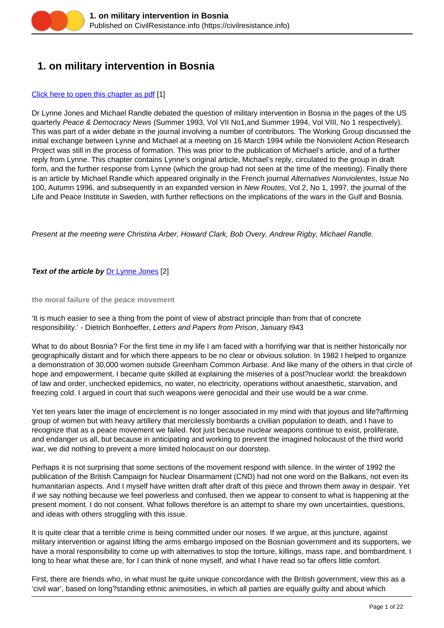

# **1. on military intervention in Bosnia**

#### [Click here to open this chapter as pdf](https://civilresistance.info/files/Bosnia.pdf) [1]

Dr Lynne Jones and Michael Randle debated the question of military intervention in Bosnia in the pages of the US quarterly Peace & Democracy News (Summer 1993, Vol VII No1, and Summer 1994, Vol VIII, No 1 respectively). This was part of a wider debate in the journal involving a number of contributors. The Working Group discussed the initial exchange between Lynne and Michael at a meeting on 16 March 1994 while the Nonviolent Action Research Project was still in the process of formation. This was prior to the publication of Michael's article, and of a further reply from Lynne. This chapter contains Lynne's original article, Michael's reply, circulated to the group in draft form, and the further response from Lynne (which the group had not seen at the time of the meeting). Finally there is an article by Michael Randle which appeared originally in the French journal Alternatives Nonviolentes, Issue No 100, Autumn 1996, and subsequently in an expanded version in New Routes, Vol 2, No 1, 1997, the journal of the Life and Peace Institute in Sweden, with further reflections on the implications of the wars in the Gulf and Bosnia.

Present at the meeting were Christina Arber, Howard Clark, Bob Overy, Andrew Rigby, Michael Randle.

**Text of the article by [Dr Lynne Jones](https://civilresistance.info/challenge/preface#Lynne)** [2]

**the moral failure of the peace movement**

'It is much easier to see a thing from the point of view of abstract principle than from that of concrete responsibility.' - Dietrich Bonhoeffer, Letters and Papers from Prison, January I943

What to do about Bosnia? For the first time in my life I am faced with a horrifying war that is neither historically nor geographically distant and for which there appears to be no clear or obvious solution. In 1982 I helped to organize a demonstration of 30,000 women outside Greenham Common Airbase. And like many of the others in that circle of hope and empowerment, I became quite skilled at explaining the miseries of a post?nuclear world: the breakdown of law and order, unchecked epidemics, no water, no electricity, operations without anaesthetic, starvation, and freezing cold. I argued in court that such weapons were genocidal and their use would be a war crime.

Yet ten years later the image of encirclement is no longer associated in my mind with that joyous and life?affirming group of women but with heavy artillery that mercilessly bombards a civilian population to death, and I have to recognize that as a peace movement we failed. Not just because nuclear weapons continue to exist, proliferate, and endanger us all, but because in anticipating and working to prevent the imagined holocaust of the third world war, we did nothing to prevent a more limited holocaust on our doorstep.

Perhaps it is not surprising that some sections of the movement respond with silence. In the winter of 1992 the publication of the British Campaign for Nuclear Disarmament (CND) had not one word on the Balkans, not even its humanitarian aspects. And I myself have written draft after draft of this piece and thrown them away in despair. Yet if we say nothing because we feel powerless and confused, then we appear to consent to what is happening at the present moment. I do not consent. What follows therefore is an attempt to share my own uncertainties, questions, and ideas with others struggling with this issue.

It is quite clear that a terrible crime is being committed under our noses. If we argue, at this juncture, against military intervention or against lifting the arms embargo imposed on the Bosnian government and its supporters, we have a moral responsibility to come up with alternatives to stop the torture, killings, mass rape, and bombardment. I long to hear what these are, for I can think of none myself, and what I have read so far offers little comfort.

First, there are friends who, in what must be quite unique concordance with the British government, view this as a 'civil war', based on long?standing ethnic animosities, in which all parties are equally guilty and about which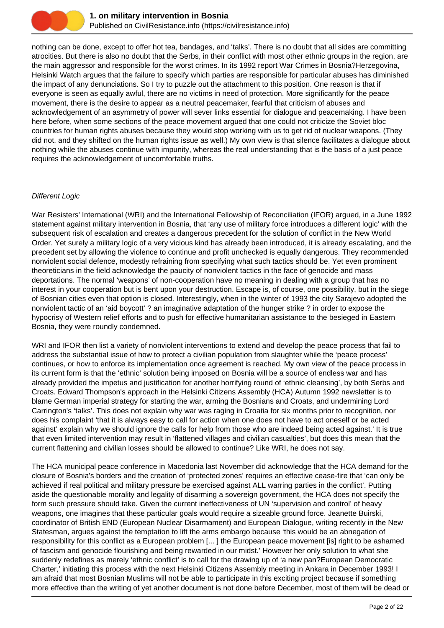

nothing can be done, except to offer hot tea, bandages, and 'talks'. There is no doubt that all sides are committing atrocities. But there is also no doubt that the Serbs, in their conflict with most other ethnic groups in the region, are the main aggressor and responsible for the worst crimes. In its 1992 report War Crimes in Bosnia?Herzegovina, Helsinki Watch argues that the failure to specify which parties are responsible for particular abuses has diminished the impact of any denunciations. So I try to puzzle out the attachment to this position. One reason is that if everyone is seen as equally awful, there are no victims in need of protection. More significantly for the peace movement, there is the desire to appear as a neutral peacemaker, fearful that criticism of abuses and acknowledgement of an asymmetry of power will sever links essential for dialogue and peacemaking. I have been here before, when some sections of the peace movement argued that one could not criticize the Soviet bloc countries for human rights abuses because they would stop working with us to get rid of nuclear weapons. (They did not, and they shifted on the human rights issue as well.) My own view is that silence facilitates a dialogue about nothing while the abuses continue with impunity, whereas the real understanding that is the basis of a just peace requires the acknowledgement of uncomfortable truths.

## Different Logic

War Resisters' International (WRI) and the International Fellowship of Reconciliation (IFOR) argued, in a June 1992 statement against military intervention in Bosnia, that 'any use of military force introduces a different logic' with the subsequent risk of escalation and creates a dangerous precedent for the solution of conflict in the New World Order. Yet surely a military logic of a very vicious kind has already been introduced, it is already escalating, and the precedent set by allowing the violence to continue and profit unchecked is equally dangerous. They recommended nonviolent social defence, modestly refraining from specifying what such tactics should be. Yet even prominent theoreticians in the field acknowledge the paucity of nonviolent tactics in the face of genocide and mass deportations. The normal 'weapons' of non-cooperation have no meaning in dealing with a group that has no interest in your cooperation but is bent upon your destruction. Escape is, of course, one possibility, but in the siege of Bosnian cities even that option is closed. Interestingly, when in the winter of 1993 the city Sarajevo adopted the nonviolent tactic of an 'aid boycott' ? an imaginative adaptation of the hunger strike ? in order to expose the hypocrisy of Western relief efforts and to push for effective humanitarian assistance to the besieged in Eastern Bosnia, they were roundly condemned.

WRI and IFOR then list a variety of nonviolent interventions to extend and develop the peace process that fail to address the substantial issue of how to protect a civilian population from slaughter while the 'peace process' continues, or how to enforce its implementation once agreement is reached. My own view of the peace process in its current form is that the 'ethnic' solution being imposed on Bosnia will be a source of endless war and has already provided the impetus and justification for another horrifying round of 'ethnic cleansing', by both Serbs and Croats. Edward Thompson's approach in the Helsinki Citizens Assembly (HCA) Autumn 1992 newsletter is to blame German imperial strategy for starting the war, arming the Bosnians and Croats, and undermining Lord Carrington's 'talks'. This does not explain why war was raging in Croatia for six months prior to recognition, nor does his complaint 'that it is always easy to call for action when one does not have to act oneself or be acted against' explain why we should ignore the calls for help from those who are indeed being acted against.' It is true that even limited intervention may result in 'flattened villages and civilian casualties', but does this mean that the current flattening and civilian losses should be allowed to continue? Like WRI, he does not say.

The HCA municipal peace conference in Macedonia last November did acknowledge that the HCA demand for the closure of Bosnia's borders and the creation of 'protected zones' requires an effective cease-fire that 'can only be achieved if real political and military pressure be exercised against ALL warring parties in the conflict'. Putting aside the questionable morality and legality of disarming a sovereign government, the HCA does not specify the form such pressure should take. Given the current ineffectiveness of UN 'supervision and control' of heavy weapons, one imagines that these particular goals would require a sizeable ground force. Jeanette Buirski, coordinator of British END (European Nuclear Disarmament) and European Dialogue, writing recently in the New Statesman, argues against the temptation to lift the arms embargo because 'this would be an abnegation of responsibility for this conflict as a European problem [... ] the European peace movement [is] right to be ashamed of fascism and genocide flourishing and being rewarded in our midst.' However her only solution to what she suddenly redefines as merely 'ethnic conflict' is to call for the drawing up of 'a new pan?European Democratic Charter,' initiating this process with the next Helsinki Citizens Assembly meeting in Ankara in December 1993! I am afraid that most Bosnian Muslims will not be able to participate in this exciting project because if something more effective than the writing of yet another document is not done before December, most of them will be dead or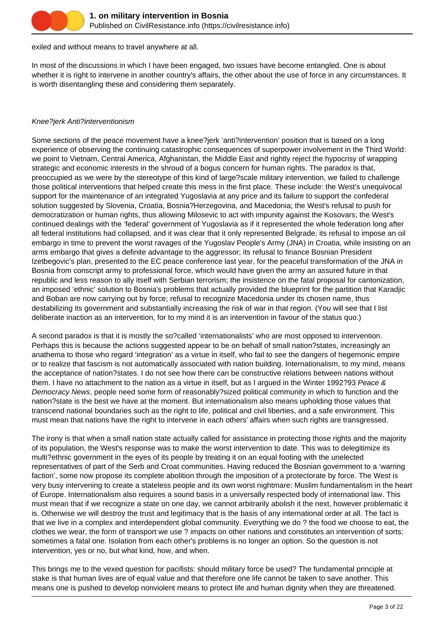

exiled and without means to travel anywhere at all.

In most of the discussions in which I have been engaged, two issues have become entangled. One is about whether it is right to intervene in another country's affairs, the other about the use of force in any circumstances. It is worth disentangling these and considering them separately.

# Knee?jerk Anti?interventionism

Some sections of the peace movement have a knee?jerk 'anti?intervention' position that is based on a long experience of observing the continuing catastrophic consequences of superpower involvement in the Third World: we point to Vietnam, Central America, Afghanistan, the Middle East and rightly reject the hypocrisy of wrapping strategic and economic interests in the shroud of a bogus concern for human rights. The paradox is that, preoccupied as we were by the stereotype of this kind of large?scale military intervention, we failed to challenge those political interventions that helped create this mess in the first place. These include: the West's unequivocal support for the maintenance of an integrated Yugoslavia at any price and its failure to support the confederal solution suggested by Slovenia, Croatia, Bosnia?Herzegovina, and Macedonia; the West's refusal to push for democratization or human rights, thus allowing Milosevic to act with impunity against the Kosovars; the West's continued dealings with the 'federal' government of Yugoslavia as if it represented the whole federation long after all federal institutions had collapsed, and it was clear that it only represented Belgrade; its refusal to impose an oil embargo in time to prevent the worst ravages of the Yugoslav People's Army (JNA) in Croatia, while insisting on an arms embargo that gives a definite advantage to the aggressor; its refusal to finance Bosnian President Izetbegovic's plan, presented to the EC peace conference last year, for the peaceful transformation of the JNA in Bosnia from conscript army to professional force, which would have given the army an assured future in that republic and less reason to ally itself with Serbian terrorism; the insistence on the fatal proposal for cantonization, an imposed 'ethnic' solution to Bosnia's problems that actually provided the blueprint for the partition that Karadjic and Boban are now carrying out by force; refusal to recognize Macedonia under its chosen name, thus destabilizing its government and substantially increasing the risk of war in that region. (You will see that I list deliberate inaction as an intervention, for to my mind it is an intervention in favour of the status quo.)

A second paradox is that it is mostly the so?called 'internationalists' who are most opposed to intervention. Perhaps this is because the actions suggested appear to be on behalf of small nation?states, increasingly an anathema to those who regard 'integration' as a virtue in itself, who fail to see the dangers of hegemonic empire or to realize that fascism is not automatically associated with nation building. Internationalism, to my mind, means the acceptance of nation?states. I do not see how there can be constructive relations between nations without them. I have no attachment to the nation as a virtue in itself, but as I argued in the Winter 1992?93 Peace & Democracy News, people need some form of reasonably?sized political community in which to function and the nation?state is the best we have at the moment. But internationalism also means upholding those values that transcend national boundaries such as the right to life, political and civil liberties, and a safe environment. This must mean that nations have the right to intervene in each others' affairs when such rights are transgressed.

The irony is that when a small nation state actually called for assistance in protecting those rights and the majority of its population, the West's response was to make the worst intervention to date. This was to delegitimize its multi?ethnic government in the eyes of its people by treating it on an equal footing with the unelected representatives of part of the Serb and Croat communities. Having reduced the Bosnian government to a 'warring faction', some now propose its complete abolition through the imposition of a protectorate by force. The West is very busy intervening to create a stateless people and its own worst nightmare: Muslim fundamentalism in the heart of Europe. Internationalism also requires a sound basis in a universally respected body of international law. This must mean that if we recognize a state on one day, we cannot arbitrarily abolish it the next, however problematic it is. Otherwise we will destroy the trust and legitimacy that is the basis of any international order at all. The fact is that we live in a complex and interdependent global community. Everything we do ? the food we choose to eat, the clothes we wear, the form of transport we use ? impacts on other nations and constitutes an intervention of sorts; sometimes a fatal one. Isolation from each other's problems is no longer an option. So the question is not intervention, yes or no, but what kind, how, and when.

This brings me to the vexed question for pacifists: should military force be used? The fundamental principle at stake is that human lives are of equal value and that therefore one life cannot be taken to save another. This means one is pushed to develop nonviolent means to protect life and human dignity when they are threatened.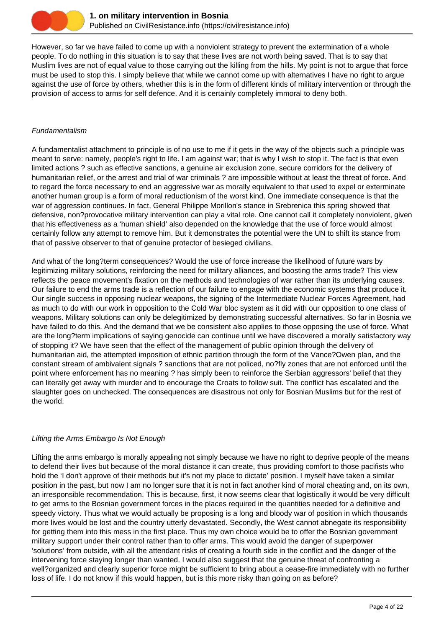

However, so far we have failed to come up with a nonviolent strategy to prevent the extermination of a whole people. To do nothing in this situation is to say that these lives are not worth being saved. That is to say that Muslim lives are not of equal value to those carrying out the killing from the hills. My point is not to argue that force must be used to stop this. I simply believe that while we cannot come up with alternatives I have no right to argue against the use of force by others, whether this is in the form of different kinds of military intervention or through the provision of access to arms for self defence. And it is certainly completely immoral to deny both.

## Fundamentalism

A fundamentalist attachment to principle is of no use to me if it gets in the way of the objects such a principle was meant to serve: namely, people's right to life. I am against war; that is why I wish to stop it. The fact is that even limited actions ? such as effective sanctions, a genuine air exclusion zone, secure corridors for the delivery of humanitarian relief, or the arrest and trial of war criminals ? are impossible without at least the threat of force. And to regard the force necessary to end an aggressive war as morally equivalent to that used to expel or exterminate another human group is a form of moral reductionism of the worst kind. One immediate consequence is that the war of aggression continues. In fact, General Philippe Morillon's stance in Srebrenica this spring showed that defensive, non?provocative military intervention can play a vital role. One cannot call it completely nonviolent, given that his effectiveness as a 'human shield' also depended on the knowledge that the use of force would almost certainly follow any attempt to remove him. But it demonstrates the potential were the UN to shift its stance from that of passive observer to that of genuine protector of besieged civilians.

And what of the long?term consequences? Would the use of force increase the likelihood of future wars by legitimizing military solutions, reinforcing the need for military alliances, and boosting the arms trade? This view reflects the peace movement's fixation on the methods and technologies of war rather than its underlying causes. Our failure to end the arms trade is a reflection of our failure to engage with the economic systems that produce it. Our single success in opposing nuclear weapons, the signing of the Intermediate Nuclear Forces Agreement, had as much to do with our work in opposition to the Cold War bloc system as it did with our opposition to one class of weapons. Military solutions can only be delegitimized by demonstrating successful alternatives. So far in Bosnia we have failed to do this. And the demand that we be consistent also applies to those opposing the use of force. What are the long?term implications of saying genocide can continue until we have discovered a morally satisfactory way of stopping it? We have seen that the effect of the management of public opinion through the delivery of humanitarian aid, the attempted imposition of ethnic partition through the form of the Vance?Owen plan, and the constant stream of ambivalent signals ? sanctions that are not policed, no?fly zones that are not enforced until the point where enforcement has no meaning ? has simply been to reinforce the Serbian aggressors' belief that they can literally get away with murder and to encourage the Croats to follow suit. The conflict has escalated and the slaughter goes on unchecked. The consequences are disastrous not only for Bosnian Muslims but for the rest of the world.

# Lifting the Arms Embargo Is Not Enough

Lifting the arms embargo is morally appealing not simply because we have no right to deprive people of the means to defend their lives but because of the moral distance it can create, thus providing comfort to those pacifists who hold the 'I don't approve of their methods but it's not my place to dictate' position. I myself have taken a similar position in the past, but now I am no longer sure that it is not in fact another kind of moral cheating and, on its own, an irresponsible recommendation. This is because, first, it now seems clear that logistically it would be very difficult to get arms to the Bosnian government forces in the places required in the quantities needed for a definitive and speedy victory. Thus what we would actually be proposing is a long and bloody war of position in which thousands more lives would be lost and the country utterly devastated. Secondly, the West cannot abnegate its responsibility for getting them into this mess in the first place. Thus my own choice would be to offer the Bosnian government military support under their control rather than to offer arms. This would avoid the danger of superpower 'solutions' from outside, with all the attendant risks of creating a fourth side in the conflict and the danger of the intervening force staying longer than wanted. I would also suggest that the genuine threat of confronting a well?organized and clearly superior force might be sufficient to bring about a cease-fire immediately with no further loss of life. I do not know if this would happen, but is this more risky than going on as before?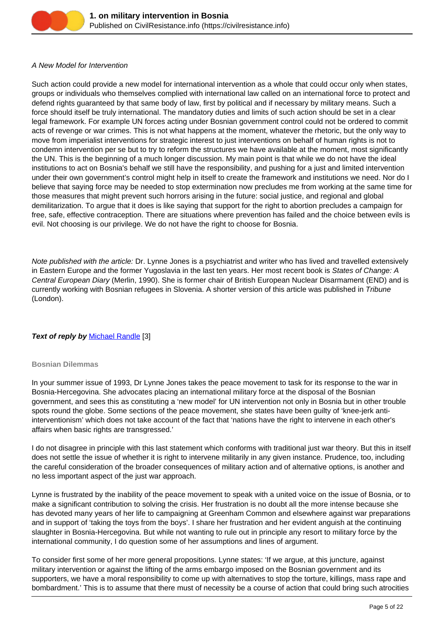

#### A New Model for Intervention

Such action could provide a new model for international intervention as a whole that could occur only when states, groups or individuals who themselves complied with international law called on an international force to protect and defend rights guaranteed by that same body of law, first by political and if necessary by military means. Such a force should itself be truly international. The mandatory duties and limits of such action should be set in a clear legal framework. For example UN forces acting under Bosnian government control could not be ordered to commit acts of revenge or war crimes. This is not what happens at the moment, whatever the rhetoric, but the only way to move from imperialist interventions for strategic interest to just interventions on behalf of human rights is not to condemn intervention per se but to try to reform the structures we have available at the moment, most significantly the UN. This is the beginning of a much longer discussion. My main point is that while we do not have the ideal institutions to act on Bosnia's behalf we still have the responsibility, and pushing for a just and limited intervention under their own government's control might help in itself to create the framework and institutions we need. Nor do I believe that saying force may be needed to stop extermination now precludes me from working at the same time for those measures that might prevent such horrors arising in the future: social justice, and regional and global demilitarization. To argue that it does is like saying that support for the right to abortion precludes a campaign for free, safe, effective contraception. There are situations where prevention has failed and the choice between evils is evil. Not choosing is our privilege. We do not have the right to choose for Bosnia.

Note published with the article: Dr. Lynne Jones is a psychiatrist and writer who has lived and travelled extensively in Eastern Europe and the former Yugoslavia in the last ten years. Her most recent book is States of Change: A Central European Diary (Merlin, 1990). She is former chair of British European Nuclear Disarmament (END) and is currently working with Bosnian refugees in Slovenia. A shorter version of this article was published in Tribune (London).

## **Text of reply by [Michael Randle](https://civilresistance.info/challenge/preface#Michael) [3]**

#### **Bosnian Dilemmas**

In your summer issue of 1993, Dr Lynne Jones takes the peace movement to task for its response to the war in Bosnia-Hercegovina. She advocates placing an international military force at the disposal of the Bosnian government, and sees this as constituting a 'new model' for UN intervention not only in Bosnia but in other trouble spots round the globe. Some sections of the peace movement, she states have been guilty of 'knee-jerk antiinterventionism' which does not take account of the fact that 'nations have the right to intervene in each other's affairs when basic rights are transgressed.'

I do not disagree in principle with this last statement which conforms with traditional just war theory. But this in itself does not settle the issue of whether it is right to intervene militarily in any given instance. Prudence, too, including the careful consideration of the broader consequences of military action and of alternative options, is another and no less important aspect of the just war approach.

Lynne is frustrated by the inability of the peace movement to speak with a united voice on the issue of Bosnia, or to make a significant contribution to solving the crisis. Her frustration is no doubt all the more intense because she has devoted many years of her life to campaigning at Greenham Common and elsewhere against war preparations and in support of 'taking the toys from the boys'. I share her frustration and her evident anguish at the continuing slaughter in Bosnia-Hercegovina. But while not wanting to rule out in principle any resort to military force by the international community, I do question some of her assumptions and lines of argument.

To consider first some of her more general propositions. Lynne states: 'If we argue, at this juncture, against military intervention or against the lifting of the arms embargo imposed on the Bosnian government and its supporters, we have a moral responsibility to come up with alternatives to stop the torture, killings, mass rape and bombardment.' This is to assume that there must of necessity be a course of action that could bring such atrocities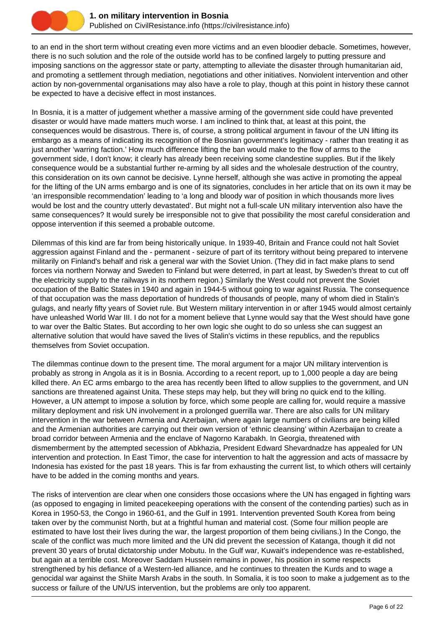

to an end in the short term without creating even more victims and an even bloodier debacle. Sometimes, however, there is no such solution and the role of the outside world has to be confined largely to putting pressure and imposing sanctions on the aggressor state or party, attempting to alleviate the disaster through humanitarian aid, and promoting a settlement through mediation, negotiations and other initiatives. Nonviolent intervention and other action by non-governmental organisations may also have a role to play, though at this point in history these cannot be expected to have a decisive effect in most instances.

In Bosnia, it is a matter of judgement whether a massive arming of the government side could have prevented disaster or would have made matters much worse. I am inclined to think that, at least at this point, the consequences would be disastrous. There is, of course, a strong political argument in favour of the UN lifting its embargo as a means of indicating its recognition of the Bosnian government's legitimacy - rather than treating it as just another 'warring faction.' How much difference lifting the ban would make to the flow of arms to the government side, I don't know; it clearly has already been receiving some clandestine supplies. But if the likely consequence would be a substantial further re-arming by all sides and the wholesale destruction of the country, this consideration on its own cannot be decisive. Lynne herself, although she was active in promoting the appeal for the lifting of the UN arms embargo and is one of its signatories, concludes in her article that on its own it may be 'an irresponsible recommendation' leading to 'a long and bloody war of position in which thousands more lives would be lost and the country utterly devastated'. But might not a full-scale UN military intervention also have the same consequences? It would surely be irresponsible not to give that possibility the most careful consideration and oppose intervention if this seemed a probable outcome.

Dilemmas of this kind are far from being historically unique. In 1939-40, Britain and France could not halt Soviet aggression against Finland and the - permanent - seizure of part of its territory without being prepared to intervene militarily on Finland's behalf and risk a general war with the Soviet Union. (They did in fact make plans to send forces via northern Norway and Sweden to Finland but were deterred, in part at least, by Sweden's threat to cut off the electricity supply to the railways in its northern region.) Similarly the West could not prevent the Soviet occupation of the Baltic States in 1940 and again in 1944-5 without going to war against Russia. The consequence of that occupation was the mass deportation of hundreds of thousands of people, many of whom died in Stalin's gulags, and nearly fifty years of Soviet rule. But Western military intervention in or after 1945 would almost certainly have unleashed World War III. I do not for a moment believe that Lynne would say that the West should have gone to war over the Baltic States. But according to her own logic she ought to do so unless she can suggest an alternative solution that would have saved the lives of Stalin's victims in these republics, and the republics themselves from Soviet occupation.

The dilemmas continue down to the present time. The moral argument for a major UN military intervention is probably as strong in Angola as it is in Bosnia. According to a recent report, up to 1,000 people a day are being killed there. An EC arms embargo to the area has recently been lifted to allow supplies to the government, and UN sanctions are threatened against Unita. These steps may help, but they will bring no quick end to the killing. However, a UN attempt to impose a solution by force, which some people are calling for, would require a massive military deployment and risk UN involvement in a prolonged guerrilla war. There are also calls for UN military intervention in the war between Armenia and Azerbaijan, where again large numbers of civilians are being killed and the Armenian authorities are carrying out their own version of 'ethnic cleansing' within Azerbaijan to create a broad corridor between Armenia and the enclave of Nagorno Karabakh. In Georgia, threatened with dismemberment by the attempted secession of Abkhazia, President Edward Shevardnadze has appealed for UN intervention and protection. In East Timor, the case for intervention to halt the aggression and acts of massacre by Indonesia has existed for the past 18 years. This is far from exhausting the current list, to which others will certainly have to be added in the coming months and years.

The risks of intervention are clear when one considers those occasions where the UN has engaged in fighting wars (as opposed to engaging in limited peacekeeping operations with the consent of the contending parties) such as in Korea in 1950-53, the Congo in 1960-61, and the Gulf in 1991. Intervention prevented South Korea from being taken over by the communist North, but at a frightful human and material cost. (Some four million people are estimated to have lost their lives during the war, the largest proportion of them being civilians.) In the Congo, the scale of the conflict was much more limited and the UN did prevent the secession of Katanga, though it did not prevent 30 years of brutal dictatorship under Mobutu. In the Gulf war, Kuwait's independence was re-established, but again at a terrible cost. Moreover Saddam Hussein remains in power, his position in some respects strengthened by his defiance of a Western-led alliance, and he continues to threaten the Kurds and to wage a genocidal war against the Shiite Marsh Arabs in the south. In Somalia, it is too soon to make a judgement as to the success or failure of the UN/US intervention, but the problems are only too apparent.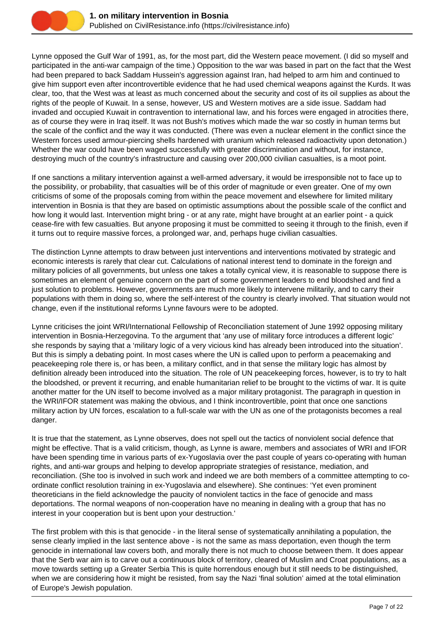

Lynne opposed the Gulf War of 1991, as, for the most part, did the Western peace movement. (I did so myself and participated in the anti-war campaign of the time.) Opposition to the war was based in part on the fact that the West had been prepared to back Saddam Hussein's aggression against Iran, had helped to arm him and continued to give him support even after incontrovertible evidence that he had used chemical weapons against the Kurds. It was clear, too, that the West was at least as much concerned about the security and cost of its oil supplies as about the rights of the people of Kuwait. In a sense, however, US and Western motives are a side issue. Saddam had invaded and occupied Kuwait in contravention to international law, and his forces were engaged in atrocities there, as of course they were in Iraq itself. It was not Bush's motives which made the war so costly in human terms but the scale of the conflict and the way it was conducted. (There was even a nuclear element in the conflict since the Western forces used armour-piercing shells hardened with uranium which released radioactivity upon detonation.) Whether the war could have been waged successfully with greater discrimination and without, for instance, destroying much of the country's infrastructure and causing over 200,000 civilian casualties, is a moot point.

If one sanctions a military intervention against a well-armed adversary, it would be irresponsible not to face up to the possibility, or probability, that casualties will be of this order of magnitude or even greater. One of my own criticisms of some of the proposals coming from within the peace movement and elsewhere for limited military intervention in Bosnia is that they are based on optimistic assumptions about the possible scale of the conflict and how long it would last. Intervention might bring - or at any rate, might have brought at an earlier point - a quick cease-fire with few casualties. But anyone proposing it must be committed to seeing it through to the finish, even if it turns out to require massive forces, a prolonged war, and, perhaps huge civilian casualties.

The distinction Lynne attempts to draw between just interventions and interventions motivated by strategic and economic interests is rarely that clear cut. Calculations of national interest tend to dominate in the foreign and military policies of all governments, but unless one takes a totally cynical view, it is reasonable to suppose there is sometimes an element of genuine concern on the part of some government leaders to end bloodshed and find a just solution to problems. However, governments are much more likely to intervene militarily, and to carry their populations with them in doing so, where the self-interest of the country is clearly involved. That situation would not change, even if the institutional reforms Lynne favours were to be adopted.

Lynne criticises the joint WRI/International Fellowship of Reconciliation statement of June 1992 opposing military intervention in Bosnia-Herzegovina. To the argument that 'any use of military force introduces a different logic' she responds by saying that a 'military logic of a very vicious kind has already been introduced into the situation'. But this is simply a debating point. In most cases where the UN is called upon to perform a peacemaking and peacekeeping role there is, or has been, a military conflict, and in that sense the military logic has almost by definition already been introduced into the situation. The role of UN peacekeeping forces, however, is to try to halt the bloodshed, or prevent it recurring, and enable humanitarian relief to be brought to the victims of war. It is quite another matter for the UN itself to become involved as a major military protagonist. The paragraph in question in the WRI/IFOR statement was making the obvious, and I think incontrovertible, point that once one sanctions military action by UN forces, escalation to a full-scale war with the UN as one of the protagonists becomes a real danger.

It is true that the statement, as Lynne observes, does not spell out the tactics of nonviolent social defence that might be effective. That is a valid criticism, though, as Lynne is aware, members and associates of WRI and IFOR have been spending time in various parts of ex-Yugoslavia over the past couple of years co-operating with human rights, and anti-war groups and helping to develop appropriate strategies of resistance, mediation, and reconciliation. (She too is involved in such work and indeed we are both members of a committee attempting to coordinate conflict resolution training in ex-Yugoslavia and elsewhere). She continues: 'Yet even prominent theoreticians in the field acknowledge the paucity of nonviolent tactics in the face of genocide and mass deportations. The normal weapons of non-cooperation have no meaning in dealing with a group that has no interest in your cooperation but is bent upon your destruction.'

The first problem with this is that genocide - in the literal sense of systematically annihilating a population, the sense clearly implied in the last sentence above - is not the same as mass deportation, even though the term genocide in international law covers both, and morally there is not much to choose between them. It does appear that the Serb war aim is to carve out a continuous block of territory, cleared of Muslim and Croat populations, as a move towards setting up a Greater Serbia This is quite horrendous enough but it still needs to be distinguished, when we are considering how it might be resisted, from say the Nazi 'final solution' aimed at the total elimination of Europe's Jewish population.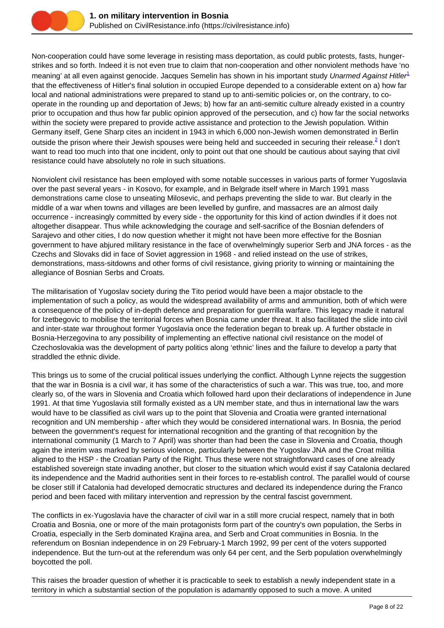

Non-cooperation could have some leverage in resisting mass deportation, as could public protests, fasts, hungerstrikes and so forth. Indeed it is not even true to claim that non-cooperation and other nonviolent methods have 'no meaning' at all even against genocide. Jacques Semelin has shown in his important study Unarmed Against Hitler<sup>1</sup> that the effectiveness of Hitler's final solution in occupied Europe depended to a considerable extent on a) how far local and national administrations were prepared to stand up to anti-semitic policies or, on the contrary, to cooperate in the rounding up and deportation of Jews; b) how far an anti-semitic culture already existed in a country prior to occupation and thus how far public opinion approved of the persecution, and c) how far the social networks within the society were prepared to provide active assistance and protection to the Jewish population. Within Germany itself, Gene Sharp cites an incident in 1943 in which 6,000 non-Jewish women demonstrated in Berlin outside the prison where their Jewish spouses were being held and succeeded in securing their release.<sup>2</sup> I don't want to read too much into that one incident, only to point out that one should be cautious about saying that civil resistance could have absolutely no role in such situations.

Nonviolent civil resistance has been employed with some notable successes in various parts of former Yugoslavia over the past several years - in Kosovo, for example, and in Belgrade itself where in March 1991 mass demonstrations came close to unseating Milosevic, and perhaps preventing the slide to war. But clearly in the middle of a war when towns and villages are been levelled by gunfire, and massacres are an almost daily occurrence - increasingly committed by every side - the opportunity for this kind of action dwindles if it does not altogether disappear. Thus while acknowledging the courage and self-sacrifice of the Bosnian defenders of Sarajevo and other cities, I do now question whether it might not have been more effective for the Bosnian government to have abjured military resistance in the face of overwhelmingly superior Serb and JNA forces - as the Czechs and Slovaks did in face of Soviet aggression in 1968 - and relied instead on the use of strikes, demonstrations, mass-sitdowns and other forms of civil resistance, giving priority to winning or maintaining the allegiance of Bosnian Serbs and Croats.

The militarisation of Yugoslav society during the Tito period would have been a major obstacle to the implementation of such a policy, as would the widespread availability of arms and ammunition, both of which were a consequence of the policy of in-depth defence and preparation for guerrilla warfare. This legacy made it natural for Izetbegovic to mobilise the territorial forces when Bosnia came under threat. It also facilitated the slide into civil and inter-state war throughout former Yugoslavia once the federation began to break up. A further obstacle in Bosnia-Herzegovina to any possibility of implementing an effective national civil resistance on the model of Czechoslovakia was the development of party politics along 'ethnic' lines and the failure to develop a party that straddled the ethnic divide.

This brings us to some of the crucial political issues underlying the conflict. Although Lynne rejects the suggestion that the war in Bosnia is a civil war, it has some of the characteristics of such a war. This was true, too, and more clearly so, of the wars in Slovenia and Croatia which followed hard upon their declarations of independence in June 1991. At that time Yugoslavia still formally existed as a UN member state, and thus in international law the wars would have to be classified as civil wars up to the point that Slovenia and Croatia were granted international recognition and UN membership - after which they would be considered international wars. In Bosnia, the period between the government's request for international recognition and the granting of that recognition by the international community (1 March to 7 April) was shorter than had been the case in Slovenia and Croatia, though again the interim was marked by serious violence, particularly between the Yugoslav JNA and the Croat militia aligned to the HSP - the Croatian Party of the Right. Thus these were not straightforward cases of one already established sovereign state invading another, but closer to the situation which would exist if say Catalonia declared its independence and the Madrid authorities sent in their forces to re-establish control. The parallel would of course be closer still if Catalonia had developed democratic structures and declared its independence during the Franco period and been faced with military intervention and repression by the central fascist government.

The conflicts in ex-Yugoslavia have the character of civil war in a still more crucial respect, namely that in both Croatia and Bosnia, one or more of the main protagonists form part of the country's own population, the Serbs in Croatia, especially in the Serb dominated Krajina area, and Serb and Croat communities in Bosnia. In the referendum on Bosnian independence in on 29 February-1 March 1992, 99 per cent of the voters supported independence. But the turn-out at the referendum was only 64 per cent, and the Serb population overwhelmingly boycotted the poll.

This raises the broader question of whether it is practicable to seek to establish a newly independent state in a territory in which a substantial section of the population is adamantly opposed to such a move. A united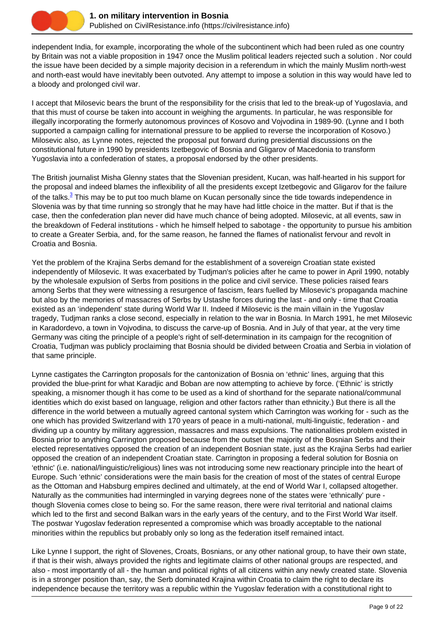

independent India, for example, incorporating the whole of the subcontinent which had been ruled as one country by Britain was not a viable proposition in 1947 once the Muslim political leaders rejected such a solution . Nor could the issue have been decided by a simple majority decision in a referendum in which the mainly Muslim north-west and north-east would have inevitably been outvoted. Any attempt to impose a solution in this way would have led to a bloody and prolonged civil war.

I accept that Milosevic bears the brunt of the responsibility for the crisis that led to the break-up of Yugoslavia, and that this must of course be taken into account in weighing the arguments. In particular, he was responsible for illegally incorporating the formerly autonomous provinces of Kosovo and Vojvodina in 1989-90. (Lynne and I both supported a campaign calling for international pressure to be applied to reverse the incorporation of Kosovo.) Milosevic also, as Lynne notes, rejected the proposal put forward during presidential discussions on the constitutional future in 1990 by presidents Izetbegovic of Bosnia and Gligarov of Macedonia to transform Yugoslavia into a confederation of states, a proposal endorsed by the other presidents.

The British journalist Misha Glenny states that the Slovenian president, Kucan, was half-hearted in his support for the proposal and indeed blames the inflexibility of all the presidents except Izetbegovic and Gligarov for the failure of the talks.<sup>3</sup> This may be to put too much blame on Kucan personally since the tide towards independence in Slovenia was by that time running so strongly that he may have had little choice in the matter. But if that is the case, then the confederation plan never did have much chance of being adopted. Milosevic, at all events, saw in the breakdown of Federal institutions - which he himself helped to sabotage - the opportunity to pursue his ambition to create a Greater Serbia, and, for the same reason, he fanned the flames of nationalist fervour and revolt in Croatia and Bosnia.

Yet the problem of the Krajina Serbs demand for the establishment of a sovereign Croatian state existed independently of Milosevic. It was exacerbated by Tudjman's policies after he came to power in April 1990, notably by the wholesale expulsion of Serbs from positions in the police and civil service. These policies raised fears among Serbs that they were witnessing a resurgence of fascism, fears fuelled by Milosevic's propaganda machine but also by the memories of massacres of Serbs by Ustashe forces during the last - and only - time that Croatia existed as an 'independent' state during World War II. Indeed if Milosevic is the main villain in the Yugoslav tragedy, Tudjman ranks a close second, especially in relation to the war in Bosnia. In March 1991, he met Milosevic in Karadordevo, a town in Vojvodina, to discuss the carve-up of Bosnia. And in July of that year, at the very time Germany was citing the principle of a people's right of self-determination in its campaign for the recognition of Croatia, Tudjman was publicly proclaiming that Bosnia should be divided between Croatia and Serbia in violation of that same principle.

Lynne castigates the Carrington proposals for the cantonization of Bosnia on 'ethnic' lines, arguing that this provided the blue-print for what Karadjic and Boban are now attempting to achieve by force. ('Ethnic' is strictly speaking, a misnomer though it has come to be used as a kind of shorthand for the separate national/communal identities which do exist based on language, religion and other factors rather than ethnicity.) But there is all the difference in the world between a mutually agreed cantonal system which Carrington was working for - such as the one which has provided Switzerland with 170 years of peace in a multi-national, multi-linguistic, federation - and dividing up a country by military aggression, massacres and mass expulsions. The nationalities problem existed in Bosnia prior to anything Carrington proposed because from the outset the majority of the Bosnian Serbs and their elected representatives opposed the creation of an independent Bosnian state, just as the Krajina Serbs had earlier opposed the creation of an independent Croatian state. Carrington in proposing a federal solution for Bosnia on 'ethnic' (i.e. national/linguistic/religious) lines was not introducing some new reactionary principle into the heart of Europe. Such 'ethnic' considerations were the main basis for the creation of most of the states of central Europe as the Ottoman and Habsburg empires declined and ultimately, at the end of World War I, collapsed altogether. Naturally as the communities had intermingled in varying degrees none of the states were 'ethnically' pure though Slovenia comes close to being so. For the same reason, there were rival territorial and national claims which led to the first and second Balkan wars in the early years of the century, and to the First World War itself. The postwar Yugoslav federation represented a compromise which was broadly acceptable to the national minorities within the republics but probably only so long as the federation itself remained intact.

Like Lynne I support, the right of Slovenes, Croats, Bosnians, or any other national group, to have their own state, if that is their wish, always provided the rights and legitimate claims of other national groups are respected, and also - most importantly of all - the human and political rights of all citizens within any newly created state. Slovenia is in a stronger position than, say, the Serb dominated Krajina within Croatia to claim the right to declare its independence because the territory was a republic within the Yugoslav federation with a constitutional right to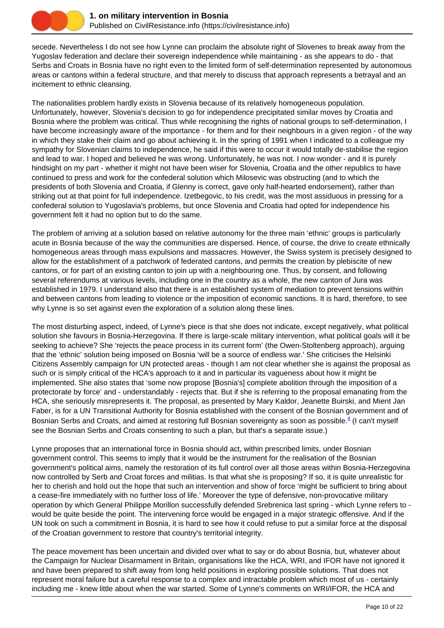

secede. Nevertheless I do not see how Lynne can proclaim the absolute right of Slovenes to break away from the Yugoslav federation and declare their sovereign independence while maintaining - as she appears to do - that Serbs and Croats in Bosnia have no right even to the limited form of self-determination represented by autonomous areas or cantons within a federal structure, and that merely to discuss that approach represents a betrayal and an incitement to ethnic cleansing.

The nationalities problem hardly exists in Slovenia because of its relatively homogeneous population. Unfortunately, however, Slovenia's decision to go for independence precipitated similar moves by Croatia and Bosnia where the problem was critical. Thus while recognising the rights of national groups to self-determination, I have become increasingly aware of the importance - for them and for their neighbours in a given region - of the way in which they stake their claim and go about achieving it. In the spring of 1991 when I indicated to a colleague my sympathy for Slovenian claims to independence, he said if this were to occur it would totally de-stabilise the region and lead to war. I hoped and believed he was wrong. Unfortunately, he was not. I now wonder - and it is purely hindsight on my part - whether it might not have been wiser for Slovenia, Croatia and the other republics to have continued to press and work for the confederal solution which Milosevic was obstructing (and to which the presidents of both Slovenia and Croatia, if Glenny is correct, gave only half-hearted endorsement), rather than striking out at that point for full independence. Izetbegovic, to his credit, was the most assiduous in pressing for a confederal solution to Yugoslavia's problems, but once Slovenia and Croatia had opted for independence his government felt it had no option but to do the same.

The problem of arriving at a solution based on relative autonomy for the three main 'ethnic' groups is particularly acute in Bosnia because of the way the communities are dispersed. Hence, of course, the drive to create ethnically homogeneous areas through mass expulsions and massacres. However, the Swiss system is precisely designed to allow for the establishment of a patchwork of federated cantons, and permits the creation by plebiscite of new cantons, or for part of an existing canton to join up with a neighbouring one. Thus, by consent, and following several referendums at various levels, including one in the country as a whole, the new canton of Jura was established in 1979. I understand also that there is an established system of mediation to prevent tensions within and between cantons from leading to violence or the imposition of economic sanctions. It is hard, therefore, to see why Lynne is so set against even the exploration of a solution along these lines.

The most disturbing aspect, indeed, of Lynne's piece is that she does not indicate, except negatively, what political solution she favours in Bosnia-Herzegovina. If there is large-scale military intervention, what political goals will it be seeking to achieve? She 'rejects the peace process in its current form' (the Owen-Stoltenberg approach), arguing that the 'ethnic' solution being imposed on Bosnia 'will be a source of endless war.' She criticises the Helsinki Citizens Assembly campaign for UN protected areas - though I am not clear whether she is against the proposal as such or is simply critical of the HCA's approach to it and in particular its vagueness about how it might be implemented. She also states that 'some now propose [Bosnia's] complete abolition through the imposition of a protectorate by force' and - understandably - rejects that. But if she is referring to the proposal emanating from the HCA, she seriously misrepresents it. The proposal, as presented by Mary Kaldor, Jeanette Buirski, and Mient Jan Faber, is for a UN Transitional Authority for Bosnia established with the consent of the Bosnian government and of Bosnian Serbs and Croats, and aimed at restoring full Bosnian sovereignty as soon as possible.<sup>4</sup> (I can't myself see the Bosnian Serbs and Croats consenting to such a plan, but that's a separate issue.)

Lynne proposes that an international force in Bosnia should act, within prescribed limits, under Bosnian government control. This seems to imply that it would be the instrument for the realisation of the Bosnian government's political aims, namely the restoration of its full control over all those areas within Bosnia-Herzegovina now controlled by Serb and Croat forces and militias. Is that what she is proposing? If so, it is quite unrealistic for her to cherish and hold out the hope that such an intervention and show of force 'might be sufficient to bring about a cease-fire immediately with no further loss of life.' Moreover the type of defensive, non-provocative military operation by which General Philippe Morillon successfully defended Srebrenica last spring - which Lynne refers to would be quite beside the point. The intervening force would be engaged in a major strategic offensive. And if the UN took on such a commitment in Bosnia, it is hard to see how it could refuse to put a similar force at the disposal of the Croatian government to restore that country's territorial integrity.

The peace movement has been uncertain and divided over what to say or do about Bosnia, but, whatever about the Campaign for Nuclear Disarmament in Britain, organisations like the HCA, WRI, and IFOR have not ignored it and have been prepared to shift away from long held positions in exploring possible solutions. That does not represent moral failure but a careful response to a complex and intractable problem which most of us - certainly including me - knew little about when the war started. Some of Lynne's comments on WRI/IFOR, the HCA and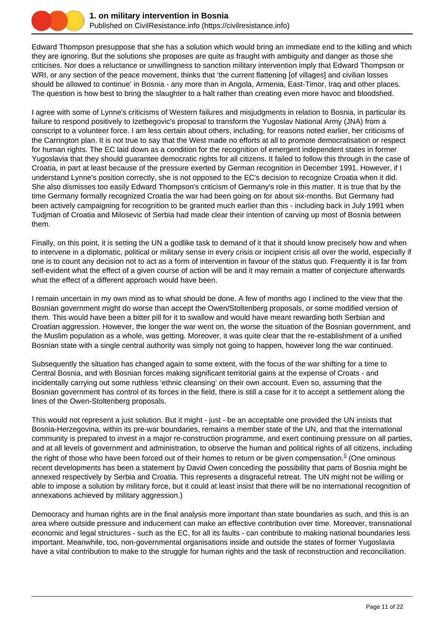

Edward Thompson presuppose that she has a solution which would bring an immediate end to the killing and which they are ignoring. But the solutions she proposes are quite as fraught with ambiguity and danger as those she criticises. Nor does a reluctance or unwillingness to sanction military intervention imply that Edward Thompson or WRI, or any section of the peace movement, thinks that 'the current flattening [of villages] and civilian losses should be allowed to continue' in Bosnia - any more than in Angola, Armenia, East-Timor, Iraq and other places. The question is how best to bring the slaughter to a halt rather than creating even more havoc and bloodshed.

I agree with some of Lynne's criticisms of Western failures and misjudgments in relation to Bosnia, in particular its failure to respond positively to Izetbegovic's proposal to transform the Yugoslav National Army (JNA) from a conscript to a volunteer force. I am less certain about others, including, for reasons noted earlier, her criticisms of the Carrington plan. It is not true to say that the West made no efforts at all to promote democratisation or respect for human rights. The EC laid down as a condition for the recognition of emergent independent states in former Yugoslavia that they should guarantee democratic rights for all citizens. It failed to follow this through in the case of Croatia, in part at least because of the pressure exerted by German recognition in December 1991. However, if I understand Lynne's position correctly, she is not opposed to the EC's decision to recognize Croatia when it did. She also dismisses too easily Edward Thompson's criticism of Germany's role in this matter. It is true that by the time Germany formally recognized Croatia the war had been going on for about six-months. But Germany had been actively campaigning for recognition to be granted much earlier than this - including back in July 1991 when Tudjman of Croatia and Milosevic of Serbia had made clear their intention of carving up most of Bosnia between them.

Finally, on this point, it is setting the UN a godlike task to demand of it that it should know precisely how and when to intervene in a diplomatic, political or military sense in every crisis or incipient crisis all over the world, especially if one is to count any decision not to act as a form of intervention in favour of the status quo. Frequently it is far from self-evident what the effect of a given course of action will be and it may remain a matter of conjecture afterwards what the effect of a different approach would have been.

I remain uncertain in my own mind as to what should be done. A few of months ago I inclined to the view that the Bosnian government might do worse than accept the Owen/Stoltenberg proposals, or some modified version of them. This would have been a bitter pill for it to swallow and would have meant rewarding both Serbian and Croatian aggression. However, the longer the war went on, the worse the situation of the Bosnian government, and the Muslim population as a whole, was getting. Moreover, it was quite clear that the re-establishment of a unified Bosnian state with a single central authority was simply not going to happen, however long the war continued.

Subsequently the situation has changed again to some extent, with the focus of the war shifting for a time to Central Bosnia, and with Bosnian forces making significant territorial gains at the expense of Croats - and incidentally carrying out some ruthless 'ethnic cleansing' on their own account. Even so, assuming that the Bosnian government has control of its forces in the field, there is still a case for it to accept a settlement along the lines of the Owen-Stoltenberg proposals.

This would not represent a just solution. But it might - just - be an acceptable one provided the UN insists that Bosnia-Herzegovina, within its pre-war boundaries, remains a member state of the UN, and that the international community is prepared to invest in a major re-construction programme, and exert continuing pressure on all parties, and at all levels of government and administration, to observe the human and political rights of all citizens, including the right of those who have been forced out of their homes to return or be given compensation.<sup>5</sup> (One ominous recent developments has been a statement by David Owen conceding the possibility that parts of Bosnia might be annexed respectively by Serbia and Croatia. This represents a disgraceful retreat. The UN might not be willing or able to impose a solution by military force, but it could at least insist that there will be no international recognition of annexations achieved by military aggression.)

Democracy and human rights are in the final analysis more important than state boundaries as such, and this is an area where outside pressure and inducement can make an effective contribution over time. Moreover, transnational economic and legal structures - such as the EC, for all its faults - can contribute to making national boundaries less important. Meanwhile, too, non-governmental organisations inside and outside the states of former Yugoslavia have a vital contribution to make to the struggle for human rights and the task of reconstruction and reconciliation.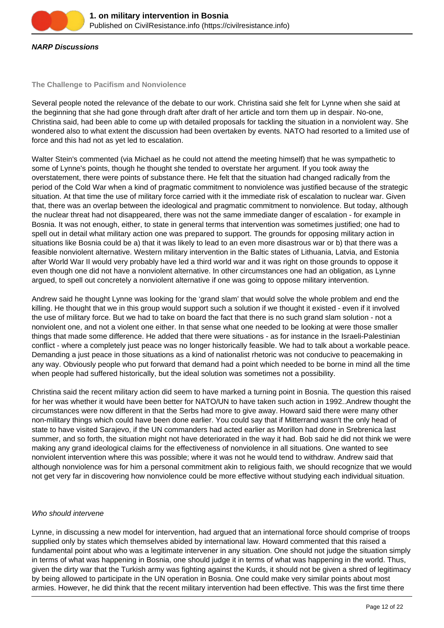# **NARP Discussions**

#### **The Challenge to Pacifism and Nonviolence**

Several people noted the relevance of the debate to our work. Christina said she felt for Lynne when she said at the beginning that she had gone through draft after draft of her article and torn them up in despair. No-one, Christina said, had been able to come up with detailed proposals for tackling the situation in a nonviolent way. She wondered also to what extent the discussion had been overtaken by events. NATO had resorted to a limited use of force and this had not as yet led to escalation.

Walter Stein's commented (via Michael as he could not attend the meeting himself) that he was sympathetic to some of Lynne's points, though he thought she tended to overstate her argument. If you took away the overstatement, there were points of substance there. He felt that the situation had changed radically from the period of the Cold War when a kind of pragmatic commitment to nonviolence was justified because of the strategic situation. At that time the use of military force carried with it the immediate risk of escalation to nuclear war. Given that, there was an overlap between the ideological and pragmatic commitment to nonviolence. But today, although the nuclear threat had not disappeared, there was not the same immediate danger of escalation - for example in Bosnia. It was not enough, either, to state in general terms that intervention was sometimes justified; one had to spell out in detail what military action one was prepared to support. The grounds for opposing military action in situations like Bosnia could be a) that it was likely to lead to an even more disastrous war or b) that there was a feasible nonviolent alternative. Western military intervention in the Baltic states of Lithuania, Latvia, and Estonia after World War II would very probably have led a third world war and it was right on those grounds to oppose it even though one did not have a nonviolent alternative. In other circumstances one had an obligation, as Lynne argued, to spell out concretely a nonviolent alternative if one was going to oppose military intervention.

Andrew said he thought Lynne was looking for the 'grand slam' that would solve the whole problem and end the killing. He thought that we in this group would support such a solution if we thought it existed - even if it involved the use of military force. But we had to take on board the fact that there is no such grand slam solution - not a nonviolent one, and not a violent one either. In that sense what one needed to be looking at were those smaller things that made some difference. He added that there were situations - as for instance in the Israeli-Palestinian conflict - where a completely just peace was no longer historically feasible. We had to talk about a workable peace. Demanding a just peace in those situations as a kind of nationalist rhetoric was not conducive to peacemaking in any way. Obviously people who put forward that demand had a point which needed to be borne in mind all the time when people had suffered historically, but the ideal solution was sometimes not a possibility.

Christina said the recent military action did seem to have marked a turning point in Bosnia. The question this raised for her was whether it would have been better for NATO/UN to have taken such action in 1992..Andrew thought the circumstances were now different in that the Serbs had more to give away. Howard said there were many other non-military things which could have been done earlier. You could say that if Mitterrand wasn't the only head of state to have visited Sarajevo, if the UN commanders had acted earlier as Morillon had done in Srebrenica last summer, and so forth, the situation might not have deteriorated in the way it had. Bob said he did not think we were making any grand ideological claims for the effectiveness of nonviolence in all situations. One wanted to see nonviolent intervention where this was possible; where it was not he would tend to withdraw. Andrew said that although nonviolence was for him a personal commitment akin to religious faith, we should recognize that we would not get very far in discovering how nonviolence could be more effective without studying each individual situation.

## Who should intervene

Lynne, in discussing a new model for intervention, had argued that an international force should comprise of troops supplied only by states which themselves abided by international law. Howard commented that this raised a fundamental point about who was a legitimate intervener in any situation. One should not judge the situation simply in terms of what was happening in Bosnia, one should judge it in terms of what was happening in the world. Thus, given the dirty war that the Turkish army was fighting against the Kurds, it should not be given a shred of legitimacy by being allowed to participate in the UN operation in Bosnia. One could make very similar points about most armies. However, he did think that the recent military intervention had been effective. This was the first time there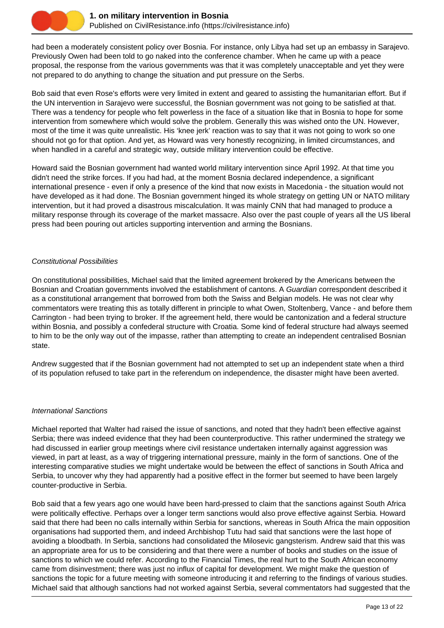

had been a moderately consistent policy over Bosnia. For instance, only Libya had set up an embassy in Sarajevo. Previously Owen had been told to go naked into the conference chamber. When he came up with a peace proposal, the response from the various governments was that it was completely unacceptable and yet they were not prepared to do anything to change the situation and put pressure on the Serbs.

Bob said that even Rose's efforts were very limited in extent and geared to assisting the humanitarian effort. But if the UN intervention in Sarajevo were successful, the Bosnian government was not going to be satisfied at that. There was a tendency for people who felt powerless in the face of a situation like that in Bosnia to hope for some intervention from somewhere which would solve the problem. Generally this was wished onto the UN. However, most of the time it was quite unrealistic. His 'knee jerk' reaction was to say that it was not going to work so one should not go for that option. And yet, as Howard was very honestly recognizing, in limited circumstances, and when handled in a careful and strategic way, outside military intervention could be effective.

Howard said the Bosnian government had wanted world military intervention since April 1992. At that time you didn't need the strike forces. If you had had, at the moment Bosnia declared independence, a significant international presence - even if only a presence of the kind that now exists in Macedonia - the situation would not have developed as it had done. The Bosnian government hinged its whole strategy on getting UN or NATO military intervention, but it had proved a disastrous miscalculation. It was mainly CNN that had managed to produce a military response through its coverage of the market massacre. Also over the past couple of years all the US liberal press had been pouring out articles supporting intervention and arming the Bosnians.

#### Constitutional Possibilities

On constitutional possibilities, Michael said that the limited agreement brokered by the Americans between the Bosnian and Croatian governments involved the establishment of cantons. A Guardian correspondent described it as a constitutional arrangement that borrowed from both the Swiss and Belgian models. He was not clear why commentators were treating this as totally different in principle to what Owen, Stoltenberg, Vance - and before them Carrington - had been trying to broker. If the agreement held, there would be cantonization and a federal structure within Bosnia, and possibly a confederal structure with Croatia. Some kind of federal structure had always seemed to him to be the only way out of the impasse, rather than attempting to create an independent centralised Bosnian state.

Andrew suggested that if the Bosnian government had not attempted to set up an independent state when a third of its population refused to take part in the referendum on independence, the disaster might have been averted.

## International Sanctions

Michael reported that Walter had raised the issue of sanctions, and noted that they hadn't been effective against Serbia; there was indeed evidence that they had been counterproductive. This rather undermined the strategy we had discussed in earlier group meetings where civil resistance undertaken internally against aggression was viewed, in part at least, as a way of triggering international pressure, mainly in the form of sanctions. One of the interesting comparative studies we might undertake would be between the effect of sanctions in South Africa and Serbia, to uncover why they had apparently had a positive effect in the former but seemed to have been largely counter-productive in Serbia.

Bob said that a few years ago one would have been hard-pressed to claim that the sanctions against South Africa were politically effective. Perhaps over a longer term sanctions would also prove effective against Serbia. Howard said that there had been no calls internally within Serbia for sanctions, whereas in South Africa the main opposition organisations had supported them, and indeed Archbishop Tutu had said that sanctions were the last hope of avoiding a bloodbath. In Serbia, sanctions had consolidated the Milosevic gangsterism. Andrew said that this was an appropriate area for us to be considering and that there were a number of books and studies on the issue of sanctions to which we could refer. According to the Financial Times, the real hurt to the South African economy came from disinvestment; there was just no influx of capital for development. We might make the question of sanctions the topic for a future meeting with someone introducing it and referring to the findings of various studies. Michael said that although sanctions had not worked against Serbia, several commentators had suggested that the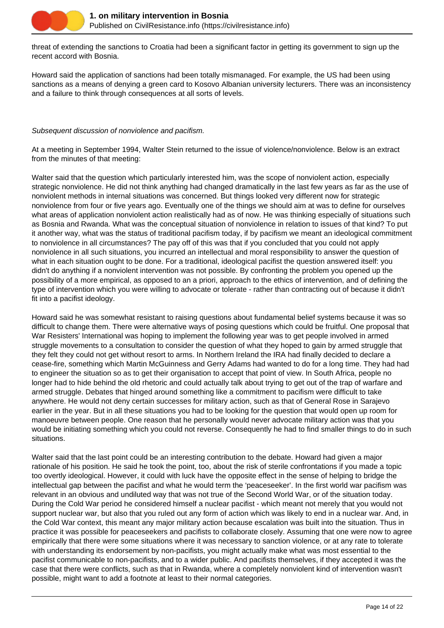

threat of extending the sanctions to Croatia had been a significant factor in getting its government to sign up the recent accord with Bosnia.

Howard said the application of sanctions had been totally mismanaged. For example, the US had been using sanctions as a means of denying a green card to Kosovo Albanian university lecturers. There was an inconsistency and a failure to think through consequences at all sorts of levels.

#### Subsequent discussion of nonviolence and pacifism.

At a meeting in September 1994, Walter Stein returned to the issue of violence/nonviolence. Below is an extract from the minutes of that meeting:

Walter said that the question which particularly interested him, was the scope of nonviolent action, especially strategic nonviolence. He did not think anything had changed dramatically in the last few years as far as the use of nonviolent methods in internal situations was concerned. But things looked very different now for strategic nonviolence from four or five years ago. Eventually one of the things we should aim at was to define for ourselves what areas of application nonviolent action realistically had as of now. He was thinking especially of situations such as Bosnia and Rwanda. What was the conceptual situation of nonviolence in relation to issues of that kind? To put it another way, what was the status of traditional pacifism today, if by pacifism we meant an ideological commitment to nonviolence in all circumstances? The pay off of this was that if you concluded that you could not apply nonviolence in all such situations, you incurred an intellectual and moral responsibility to answer the question of what in each situation ought to be done. For a traditional, ideological pacifist the question answered itself: you didn't do anything if a nonviolent intervention was not possible. By confronting the problem you opened up the possibility of a more empirical, as opposed to an a priori, approach to the ethics of intervention, and of defining the type of intervention which you were willing to advocate or tolerate - rather than contracting out of because it didn't fit into a pacifist ideology.

Howard said he was somewhat resistant to raising questions about fundamental belief systems because it was so difficult to change them. There were alternative ways of posing questions which could be fruitful. One proposal that War Resisters' International was hoping to implement the following year was to get people involved in armed struggle movements to a consultation to consider the question of what they hoped to gain by armed struggle that they felt they could not get without resort to arms. In Northern Ireland the IRA had finally decided to declare a cease-fire, something which Martin McGuinness and Gerry Adams had wanted to do for a long time. They had had to engineer the situation so as to get their organisation to accept that point of view. In South Africa, people no longer had to hide behind the old rhetoric and could actually talk about trying to get out of the trap of warfare and armed struggle. Debates that hinged around something like a commitment to pacifism were difficult to take anywhere. He would not deny certain successes for military action, such as that of General Rose in Sarajevo earlier in the year. But in all these situations you had to be looking for the question that would open up room for manoeuvre between people. One reason that he personally would never advocate military action was that you would be initiating something which you could not reverse. Consequently he had to find smaller things to do in such situations.

Walter said that the last point could be an interesting contribution to the debate. Howard had given a major rationale of his position. He said he took the point, too, about the risk of sterile confrontations if you made a topic too overtly ideological. However, it could with luck have the opposite effect in the sense of helping to bridge the intellectual gap between the pacifist and what he would term the 'peaceseeker'. In the first world war pacifism was relevant in an obvious and undiluted way that was not true of the Second World War, or of the situation today. During the Cold War period he considered himself a nuclear pacifist - which meant not merely that you would not support nuclear war, but also that you ruled out any form of action which was likely to end in a nuclear war. And, in the Cold War context, this meant any major military action because escalation was built into the situation. Thus in practice it was possible for peaceseekers and pacifists to collaborate closely. Assuming that one were now to agree empirically that there were some situations where it was necessary to sanction violence, or at any rate to tolerate with understanding its endorsement by non-pacifists, you might actually make what was most essential to the pacifist communicable to non-pacifists, and to a wider public. And pacifists themselves, if they accepted it was the case that there were conflicts, such as that in Rwanda, where a completely nonviolent kind of intervention wasn't possible, might want to add a footnote at least to their normal categories.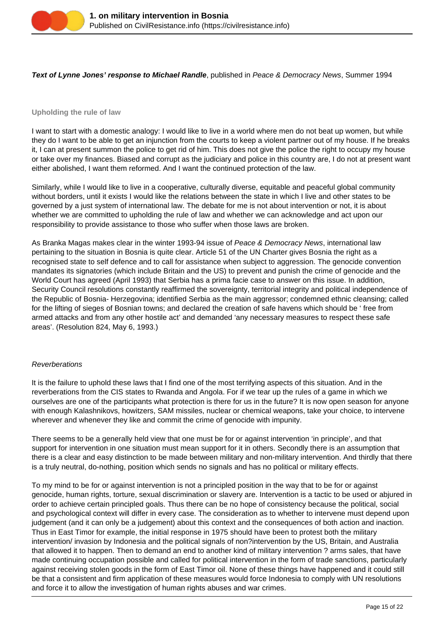

## **Text of Lynne Jones' response to Michael Randle**, published in Peace & Democracy News, Summer 1994

#### **Upholding the rule of law**

I want to start with a domestic analogy: I would like to live in a world where men do not beat up women, but while they do I want to be able to get an injunction from the courts to keep a violent partner out of my house. If he breaks it, I can at present summon the police to get rid of him. This does not give the police the right to occupy my house or take over my finances. Biased and corrupt as the judiciary and police in this country are, I do not at present want either abolished, I want them reformed. And I want the continued protection of the law.

Similarly, while I would like to live in a cooperative, culturally diverse, equitable and peaceful global community without borders, until it exists I would like the relations between the state in which I live and other states to be governed by a just system of international law. The debate for me is not about intervention or not, it is about whether we are committed to upholding the rule of law and whether we can acknowledge and act upon our responsibility to provide assistance to those who suffer when those laws are broken.

As Branka Magas makes clear in the winter 1993-94 issue of Peace & Democracy News, international law pertaining to the situation in Bosnia is quite clear. Article 51 of the UN Charter gives Bosnia the right as a recognised state to self defence and to call for assistance when subject to aggression. The genocide convention mandates its signatories (which include Britain and the US) to prevent and punish the crime of genocide and the World Court has agreed (April 1993) that Serbia has a prima facie case to answer on this issue. In addition, Security Council resolutions constantly reaffirmed the sovereignty, territorial integrity and political independence of the Republic of Bosnia- Herzegovina; identified Serbia as the main aggressor; condemned ethnic cleansing; called for the lifting of sieges of Bosnian towns; and declared the creation of safe havens which should be ' free from armed attacks and from any other hostile act' and demanded 'any necessary measures to respect these safe areas'. (Resolution 824, May 6, 1993.)

#### **Reverberations**

It is the failure to uphold these laws that I find one of the most terrifying aspects of this situation. And in the reverberations from the CIS states to Rwanda and Angola. For if we tear up the rules of a game in which we ourselves are one of the participants what protection is there for us in the future? It is now open season for anyone with enough Kalashnikovs, howitzers, SAM missiles, nuclear or chemical weapons, take your choice, to intervene wherever and whenever they like and commit the crime of genocide with impunity.

There seems to be a generally held view that one must be for or against intervention 'in principle', and that support for intervention in one situation must mean support for it in others. Secondly there is an assumption that there is a clear and easy distinction to be made between military and non-military intervention. And thirdly that there is a truly neutral, do-nothing, position which sends no signals and has no political or military effects.

To my mind to be for or against intervention is not a principled position in the way that to be for or against genocide, human rights, torture, sexual discrimination or slavery are. Intervention is a tactic to be used or abjured in order to achieve certain principled goals. Thus there can be no hope of consistency because the political, social and psychological context will differ in every case. The consideration as to whether to intervene must depend upon judgement (and it can only be a judgement) about this context and the consequences of both action and inaction. Thus in East Timor for example, the initial response in 1975 should have been to protest both the military intervention/ invasion by Indonesia and the political signals of non?intervention by the US, Britain, and Australia that allowed it to happen. Then to demand an end to another kind of military intervention ? arms sales, that have made continuing occupation possible and called for political intervention in the form of trade sanctions, particularly against receiving stolen goods in the form of East Timor oil. None of these things have happened and it could still be that a consistent and firm application of these measures would force Indonesia to comply with UN resolutions and force it to allow the investigation of human rights abuses and war crimes.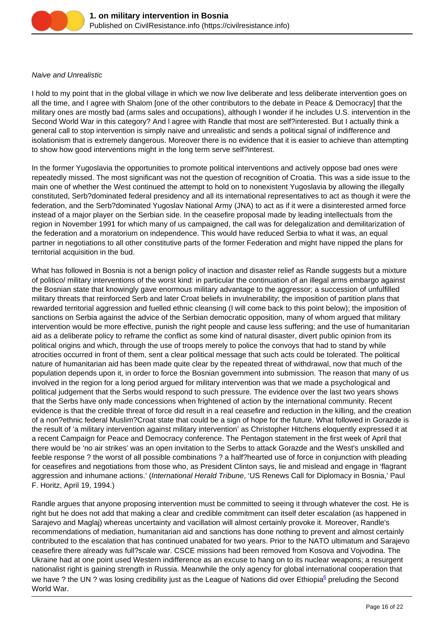

## Naive and Unrealistic

I hold to my point that in the global village in which we now live deliberate and less deliberate intervention goes on all the time, and I agree with Shalom [one of the other contributors to the debate in Peace & Democracy] that the military ones are mostly bad (arms sales and occupations), although I wonder if he includes U.S. intervention in the Second World War in this category? And l agree with Randle that most are self?interested. But I actually think a general call to stop intervention is simply naive and unrealistic and sends a political signal of indifference and isolationism that is extremely dangerous. Moreover there is no evidence that it is easier to achieve than attempting to show how good interventions might in the long term serve self?interest.

In the former Yugoslavia the opportunities to promote political interventions and actively oppose bad ones were repeatedly missed. The most significant was not the question of recognition of Croatia. This was a side issue to the main one of whether the West continued the attempt to hold on to nonexistent Yugoslavia by allowing the illegally constituted, Serb?dominated federal presidency and all its international representatives to act as though it were the federation, and the Serb?dominated Yugoslav National Army (JNA) to act as if it were a disinterested armed force instead of a major player on the Serbian side. In the ceasefire proposal made by leading intellectuals from the region in November 1991 for which many of us campaigned, the call was for delegalization and demilitarization of the federation and a moratorium on independence. This would have reduced Serbia to what it was, an equal partner in negotiations to all other constitutive parts of the former Federation and might have nipped the plans for territorial acquisition in the bud.

What has followed in Bosnia is not a benign policy of inaction and disaster relief as Randle suggests but a mixture of politico/ military interventions of the worst kind: in particular the continuation of an illegal arms embargo against the Bosnian state that knowingly gave enormous military advantage to the aggressor; a succession of unfulfilled military threats that reinforced Serb and later Croat beliefs in invulnerability; the imposition of partition plans that rewarded territorial aggression and fuelled ethnic cleansing (I will come back to this point below); the imposition of sanctions on Serbia against the advice of the Serbian democratic opposition, many of whom argued that military intervention would be more effective, punish the right people and cause less suffering; and the use of humanitarian aid as a deliberate policy to reframe the conflict as some kind of natural disaster, divert public opinion from its political origins and which, through the use of troops merely to police the convoys that had to stand by while atrocities occurred in front of them, sent a clear political message that such acts could be tolerated. The political nature of humanitarian aid has been made quite clear by the repeated threat of withdrawal, now that much of the population depends upon it, in order to force the Bosnian government into submission. The reason that many of us involved in the region for a long period argued for military intervention was that we made a psychological and political judgement that the Serbs would respond to such pressure. The evidence over the last two years shows that the Serbs have only made concessions when frightened of action by the international community. Recent evidence is that the credible threat of force did result in a real ceasefire and reduction in the killing, and the creation of a non?ethnic federal Muslim?Croat state that could be a sign of hope for the future. What followed in Gorazde is the result of 'a military intervention against military intervention' as Christopher Hitchens eloquently expressed it at a recent Campaign for Peace and Democracy conference. The Pentagon statement in the first week of April that there would be 'no air strikes' was an open invitation to the Serbs to attack Gorazde and the West's unskilled and feeble response ? the worst of all possible combinations ? a half?hearted use of force in conjunction with pleading for ceasefires and negotiations from those who, as President Clinton says, lie and mislead and engage in 'flagrant aggression and inhumane actions.' (International Herald Tribune, 'US Renews Call for Diplomacy in Bosnia,' Paul F. Horitz, April 19, 1994.)

Randle argues that anyone proposing intervention must be committed to seeing it through whatever the cost. He is right but he does not add that making a clear and credible commitment can itself deter escalation (as happened in Sarajevo and Maglaj) whereas uncertainty and vacillation will almost certainly provoke it. Moreover, Randle's recommendations of mediation, humanitarian aid and sanctions has done nothing to prevent and almost certainly contributed to the escalation that has continued unabated for two years. Prior to the NATO ultimatum and Sarajevo ceasefire there already was full?scale war. CSCE missions had been removed from Kosova and Vojvodina. The Ukraine had at one point used Western indifference as an excuse to hang on to its nuclear weapons; a resurgent nationalist right is gaining strength in Russia. Meanwhile the only agency for global international cooperation that we have ? the UN ? was losing credibility just as the League of Nations did over Ethiopia<sup>6</sup> preluding the Second World War.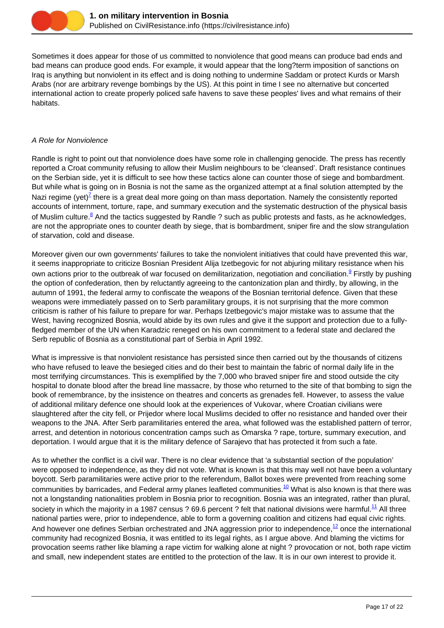

Sometimes it does appear for those of us committed to nonviolence that good means can produce bad ends and bad means can produce good ends. For example, it would appear that the long?term imposition of sanctions on Iraq is anything but nonviolent in its effect and is doing nothing to undermine Saddam or protect Kurds or Marsh Arabs (nor are arbitrary revenge bombings by the US). At this point in time I see no alternative but concerted international action to create properly policed safe havens to save these peoples' lives and what remains of their habitats.

## A Role for Nonviolence

Randle is right to point out that nonviolence does have some role in challenging genocide. The press has recently reported a Croat community refusing to allow their Muslim neighbours to be 'cleansed'. Draft resistance continues on the Serbian side, yet it is difficult to see how these tactics alone can counter those of siege and bombardment. But while what is going on in Bosnia is not the same as the organized attempt at a final solution attempted by the Nazi regime (yet)<sup>Z</sup> there is a great deal more going on than mass deportation. Namely the consistently reported accounts of internment, torture, rape, and summary execution and the systematic destruction of the physical basis of Muslim culture.<sup>8</sup> And the tactics suggested by Randle ? such as public protests and fasts, as he acknowledges, are not the appropriate ones to counter death by siege, that is bombardment, sniper fire and the slow strangulation of starvation, cold and disease.

Moreover given our own governments' failures to take the nonviolent initiatives that could have prevented this war, it seems inappropriate to criticize Bosnian President Alija Izetbegovic for not abjuring military resistance when his own actions prior to the outbreak of war focused on demilitarization, negotiation and conciliation.<sup>9</sup> Firstly by pushing the option of confederation, then by reluctantly agreeing to the cantonization plan and thirdly, by allowing, in the autumn of 1991, the federal army to confiscate the weapons of the Bosnian territorial defence. Given that these weapons were immediately passed on to Serb paramilitary groups, it is not surprising that the more common criticism is rather of his failure to prepare for war. Perhaps lzetbegovic's major mistake was to assume that the West, having recognized Bosnia, would abide by its own rules and give it the support and protection due to a fullyfledged member of the UN when Karadzic reneged on his own commitment to a federal state and declared the Serb republic of Bosnia as a constitutional part of Serbia in April 1992.

What is impressive is that nonviolent resistance has persisted since then carried out by the thousands of citizens who have refused to leave the besieged cities and do their best to maintain the fabric of normal daily life in the most terrifying circumstances. This is exemplified by the 7,000 who braved sniper fire and stood outside the city hospital to donate blood after the bread line massacre, by those who returned to the site of that bombing to sign the book of remembrance, by the insistence on theatres and concerts as grenades fell. However, to assess the value of additional military defence one should look at the experiences of Vukovar, where Croatian civilians were slaughtered after the city fell, or Prijedor where local Muslims decided to offer no resistance and handed over their weapons to the JNA. After Serb paramilitaries entered the area, what followed was the established pattern of terror, arrest, and detention in notorious concentration camps such as Omarska ? rape, torture, summary execution, and deportation. I would argue that it is the military defence of Sarajevo that has protected it from such a fate.

As to whether the conflict is a civil war. There is no clear evidence that 'a substantial section of the population' were opposed to independence, as they did not vote. What is known is that this may well not have been a voluntary boycott. Serb paramilitaries were active prior to the referendum, Ballot boxes were prevented from reaching some communities by barricades, and Federal army planes leafleted communities. $10$  What is also known is that there was not a longstanding nationalities problem in Bosnia prior to recognition. Bosnia was an integrated, rather than plural, society in which the majority in a 1987 census  $?69.6$  percent  $?$  felt that national divisions were harmful.<sup>11</sup> All three national parties were, prior to independence, able to form a governing coalition and citizens had equal civic rights. And however one defines Serbian orchestrated and JNA aggression prior to independence,<sup>12</sup> once the international community had recognized Bosnia, it was entitled to its legal rights, as I argue above. And blaming the victims for provocation seems rather like blaming a rape victim for walking alone at night ? provocation or not, both rape victim and small, new independent states are entitled to the protection of the law. It is in our own interest to provide it.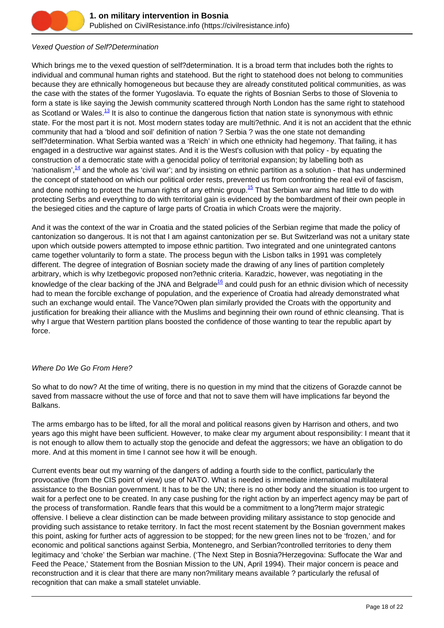

# Vexed Question of Self?Determination

Which brings me to the vexed question of self?determination. It is a broad term that includes both the rights to individual and communal human rights and statehood. But the right to statehood does not belong to communities because they are ethnically homogeneous but because they are already constituted political communities, as was the case with the states of the former Yugoslavia. To equate the rights of Bosnian Serbs to those of Slovenia to form a state is like saying the Jewish community scattered through North London has the same right to statehood as Scotland or Wales.<sup>13</sup> It is also to continue the dangerous fiction that nation state is synonymous with ethnic state. For the most part it is not. Most modern states today are multi?ethnic. And it is not an accident that the ethnic community that had a 'blood and soil' definition of nation ? Serbia ? was the one state not demanding self?determination. What Serbia wanted was a 'Reich' in which one ethnicity had hegemony. That failing, it has engaged in a destructive war against states. And it is the West's collusion with that policy - by equating the construction of a democratic state with a genocidal policy of territorial expansion; by labelling both as 'nationalism', $\frac{14}{1}$  and the whole as 'civil war'; and by insisting on ethnic partition as a solution - that has undermined the concept of statehood on which our political order rests, prevented us from confronting the real evil of fascism, and done nothing to protect the human rights of any ethnic group.<sup>15</sup> That Serbian war aims had little to do with protecting Serbs and everything to do with territorial gain is evidenced by the bombardment of their own people in the besieged cities and the capture of large parts of Croatia in which Croats were the majority.

And it was the context of the war in Croatia and the stated policies of the Serbian regime that made the policy of cantonization so dangerous. It is not that I am against cantonization per se. But Switzerland was not a unitary state upon which outside powers attempted to impose ethnic partition. Two integrated and one unintegrated cantons came together voluntarily to form a state. The process begun with the Lisbon talks in 1991 was completely different. The degree of integration of Bosnian society made the drawing of any lines of partition completely arbitrary, which is why Izetbegovic proposed non?ethnic criteria. Karadzic, however, was negotiating in the knowledge of the clear backing of the JNA and Belgrade<sup>16</sup> and could push for an ethnic division which of necessity had to mean the forcible exchange of population, and the experience of Croatia had already demonstrated what such an exchange would entail. The Vance?Owen plan similarly provided the Croats with the opportunity and justification for breaking their alliance with the Muslims and beginning their own round of ethnic cleansing. That is why I argue that Western partition plans boosted the confidence of those wanting to tear the republic apart by force.

## Where Do We Go From Here?

So what to do now? At the time of writing, there is no question in my mind that the citizens of Gorazde cannot be saved from massacre without the use of force and that not to save them will have implications far beyond the Balkans.

The arms embargo has to be lifted, for all the moral and political reasons given by Harrison and others, and two years ago this might have been sufficient. However, to make clear my argument about responsibility: I meant that it is not enough to allow them to actually stop the genocide and defeat the aggressors; we have an obligation to do more. And at this moment in time I cannot see how it will be enough.

Current events bear out my warning of the dangers of adding a fourth side to the conflict, particularly the provocative (from the CIS point of view) use of NATO. What is needed is immediate international multilateral assistance to the Bosnian government. It has to be the UN; there is no other body and the situation is too urgent to wait for a perfect one to be created. In any case pushing for the right action by an imperfect agency may be part of the process of transformation. Randle fears that this would be a commitment to a long?term major strategic offensive. I believe a clear distinction can be made between providing military assistance to stop genocide and providing such assistance to retake territory. In fact the most recent statement by the Bosnian government makes this point, asking for further acts of aggression to be stopped; for the new green lines not to be 'frozen,' and for economic and political sanctions against Serbia, Montenegro, and Serbian?controlled territories to deny them legitimacy and 'choke' the Serbian war machine. ('The Next Step in Bosnia?Herzegovina: Suffocate the War and Feed the Peace,' Statement from the Bosnian Mission to the UN, April 1994). Their major concern is peace and reconstruction and it is clear that there are many non?military means available ? particularly the refusal of recognition that can make a small statelet unviable.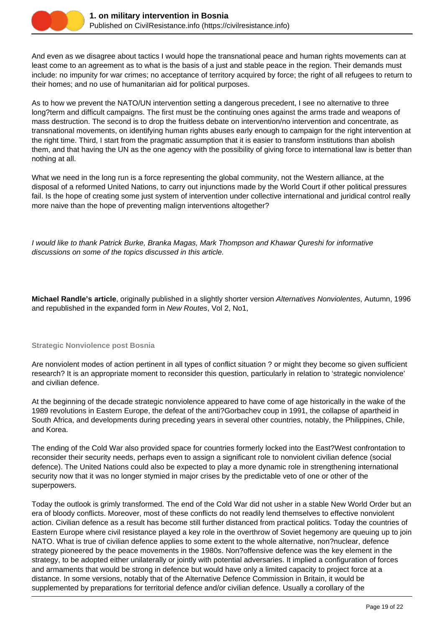

And even as we disagree about tactics I would hope the transnational peace and human rights movements can at least come to an agreement as to what is the basis of a just and stable peace in the region. Their demands must include: no impunity for war crimes; no acceptance of territory acquired by force; the right of all refugees to return to their homes; and no use of humanitarian aid for political purposes.

As to how we prevent the NATO/UN intervention setting a dangerous precedent, I see no alternative to three long?term and difficult campaigns. The first must be the continuing ones against the arms trade and weapons of mass destruction. The second is to drop the fruitless debate on intervention/no intervention and concentrate, as transnational movements, on identifying human rights abuses early enough to campaign for the right intervention at the right time. Third, I start from the pragmatic assumption that it is easier to transform institutions than abolish them, and that having the UN as the one agency with the possibility of giving force to international law is better than nothing at all.

What we need in the long run is a force representing the global community, not the Western alliance, at the disposal of a reformed United Nations, to carry out injunctions made by the World Court if other political pressures fail. Is the hope of creating some just system of intervention under collective international and juridical control really more naive than the hope of preventing malign interventions altogether?

I would like to thank Patrick Burke, Branka Magas, Mark Thompson and Khawar Qureshi for informative discussions on some of the topics discussed in this article.

**Michael Randle's article**, originally published in a slightly shorter version Alternatives Nonviolentes, Autumn, 1996 and republished in the expanded form in New Routes, Vol 2, No1,

#### **Strategic Nonviolence post Bosnia**

Are nonviolent modes of action pertinent in all types of conflict situation ? or might they become so given sufficient research? It is an appropriate moment to reconsider this question, particularly in relation to 'strategic nonviolence' and civilian defence.

At the beginning of the decade strategic nonviolence appeared to have come of age historically in the wake of the 1989 revolutions in Eastern Europe, the defeat of the anti?Gorbachev coup in 1991, the collapse of apartheid in South Africa, and developments during preceding years in several other countries, notably, the Philippines, Chile, and Korea.

The ending of the Cold War also provided space for countries formerly locked into the East?West confrontation to reconsider their security needs, perhaps even to assign a significant role to nonviolent civilian defence (social defence). The United Nations could also be expected to play a more dynamic role in strengthening international security now that it was no longer stymied in major crises by the predictable veto of one or other of the superpowers.

Today the outlook is grimly transformed. The end of the Cold War did not usher in a stable New World Order but an era of bloody conflicts. Moreover, most of these conflicts do not readily lend themselves to effective nonviolent action. Civilian defence as a result has become still further distanced from practical politics. Today the countries of Eastern Europe where civil resistance played a key role in the overthrow of Soviet hegemony are queuing up to join NATO. What is true of civilian defence applies to some extent to the whole alternative, non?nuclear, defence strategy pioneered by the peace movements in the 1980s. Non?offensive defence was the key element in the strategy, to be adopted either unilaterally or jointly with potential adversaries. It implied a configuration of forces and armaments that would be strong in defence but would have only a limited capacity to project force at a distance. In some versions, notably that of the Alternative Defence Commission in Britain, it would be supplemented by preparations for territorial defence and/or civilian defence. Usually a corollary of the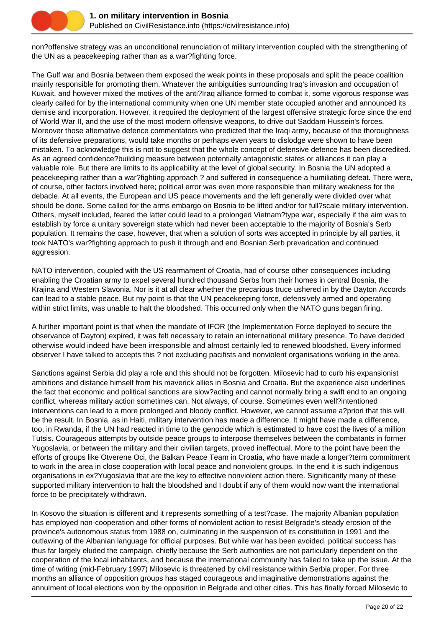

non?offensive strategy was an unconditional renunciation of military intervention coupled with the strengthening of the UN as a peacekeeping rather than as a war?fighting force.

The Gulf war and Bosnia between them exposed the weak points in these proposals and split the peace coalition mainly responsible for promoting them. Whatever the ambiguities surrounding Iraq's invasion and occupation of Kuwait, and however mixed the motives of the anti?Iraq alliance formed to combat it, some vigorous response was clearly called for by the international community when one UN member state occupied another and announced its demise and incorporation. However, it required the deployment of the largest offensive strategic force since the end of World War II, and the use of the most modern offensive weapons, to drive out Saddam Hussein's forces. Moreover those alternative defence commentators who predicted that the Iraqi army, because of the thoroughness of its defensive preparations, would take months or perhaps even years to dislodge were shown to have been mistaken. To acknowledge this is not to suggest that the whole concept of defensive defence has been discredited. As an agreed confidence?building measure between potentially antagonistic states or alliances it can play a valuable role. But there are limits to its applicability at the level of global security. In Bosnia the UN adopted a peacekeeping rather than a war?fighting approach ? and suffered in consequence a humiliating defeat. There were, of course, other factors involved here; political error was even more responsible than military weakness for the debacle. At all events, the European and US peace movements and the left generally were divided over what should be done. Some called for the arms embargo on Bosnia to be lifted and/or for full?scale military intervention. Others, myself included, feared the latter could lead to a prolonged Vietnam?type war, especially if the aim was to establish by force a unitary sovereign state which had never been acceptable to the majority of Bosnia's Serb population. It remains the case, however, that when a solution of sorts was accepted in principle by all parties, it took NATO's war?fighting approach to push it through and end Bosnian Serb prevarication and continued aggression.

NATO intervention, coupled with the US rearmament of Croatia, had of course other consequences including enabling the Croatian army to expel several hundred thousand Serbs from their homes in central Bosnia, the Krajina and Western Slavonia. Nor is it at all clear whether the precarious truce ushered in by the Dayton Accords can lead to a stable peace. But my point is that the UN peacekeeping force, defensively armed and operating within strict limits, was unable to halt the bloodshed. This occurred only when the NATO guns began firing.

A further important point is that when the mandate of IFOR (the Implementation Force deployed to secure the observance of Dayton) expired, it was felt necessary to retain an international military presence. To have decided otherwise would indeed have been irresponsible and almost certainly led to renewed bloodshed. Every informed observer I have talked to accepts this ? not excluding pacifists and nonviolent organisations working in the area.

Sanctions against Serbia did play a role and this should not be forgotten. Milosevic had to curb his expansionist ambitions and distance himself from his maverick allies in Bosnia and Croatia. But the experience also underlines the fact that economic and political sanctions are slow?acting and cannot normally bring a swift end to an ongoing conflict, whereas military action sometimes can. Not always, of course. Sometimes even well?intentioned interventions can lead to a more prolonged and bloody conflict. However, we cannot assume a?priori that this will be the result. In Bosnia, as in Haiti, military intervention has made a difference. It might have made a difference, too, in Rwanda, if the UN had reacted in time to the genocide which is estimated to have cost the lives of a million Tutsis. Courageous attempts by outside peace groups to interpose themselves between the combatants in former Yugoslavia, or between the military and their civilian targets, proved ineffectual. More to the point have been the efforts of groups like Otverene Oci, the Balkan Peace Team in Croatia, who have made a longer?term commitment to work in the area in close cooperation with local peace and nonviolent groups. In the end it is such indigenous organisations in ex?Yugoslavia that are the key to effective nonviolent action there. Significantly many of these supported military intervention to halt the bloodshed and I doubt if any of them would now want the international force to be precipitately withdrawn.

In Kosovo the situation is different and it represents something of a test?case. The majority Albanian population has employed non-cooperation and other forms of nonviolent action to resist Belgrade's steady erosion of the province's autonomous status from 1988 on, culminating in the suspension of its constitution in 1991 and the outlawing of the Albanian language for official purposes. But while war has been avoided, political success has thus far largely eluded the campaign, chiefly because the Serb authorities are not particularly dependent on the cooperation of the local inhabitants, and because the international community has failed to take up the issue. At the time of writing (mid-February 1997) Milosevic is threatened by civil resistance within Serbia proper. For three months an alliance of opposition groups has staged courageous and imaginative demonstrations against the annulment of local elections won by the opposition in Belgrade and other cities. This has finally forced Milosevic to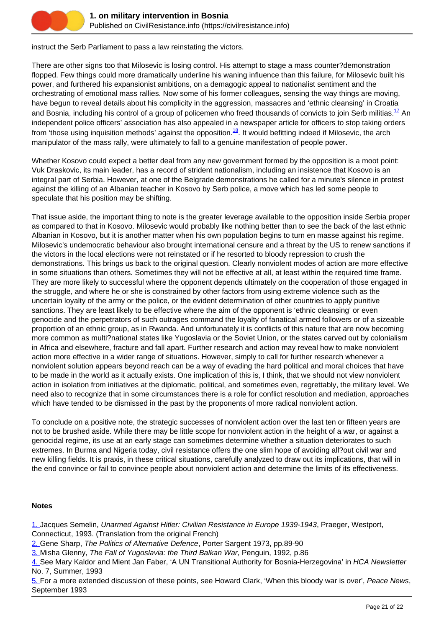

instruct the Serb Parliament to pass a law reinstating the victors.

There are other signs too that Milosevic is losing control. His attempt to stage a mass counter?demonstration flopped. Few things could more dramatically underline his waning influence than this failure, for Milosevic built his power, and furthered his expansionist ambitions, on a demagogic appeal to nationalist sentiment and the orchestrating of emotional mass rallies. Now some of his former colleagues, sensing the way things are moving, have begun to reveal details about his complicity in the aggression, massacres and 'ethnic cleansing' in Croatia and Bosnia, including his control of a group of policemen who freed thousands of convicts to join Serb militias.<sup>17</sup> An independent police officers' association has also appealed in a newspaper article for officers to stop taking orders from 'those using inquisition methods' against the opposition. $18$ . It would befitting indeed if Milosevic, the arch manipulator of the mass rally, were ultimately to fall to a genuine manifestation of people power.

Whether Kosovo could expect a better deal from any new government formed by the opposition is a moot point: Vuk Draskovic, its main leader, has a record of strident nationalism, including an insistence that Kosovo is an integral part of Serbia. However, at one of the Belgrade demonstrations he called for a minute's silence in protest against the killing of an Albanian teacher in Kosovo by Serb police, a move which has led some people to speculate that his position may be shifting.

That issue aside, the important thing to note is the greater leverage available to the opposition inside Serbia proper as compared to that in Kosovo. Milosevic would probably like nothing better than to see the back of the last ethnic Albanian in Kosovo, but it is another matter when his own population begins to turn en masse against his regime. Milosevic's undemocratic behaviour also brought international censure and a threat by the US to renew sanctions if the victors in the local elections were not reinstated or if he resorted to bloody repression to crush the demonstrations. This brings us back to the original question. Clearly nonviolent modes of action are more effective in some situations than others. Sometimes they will not be effective at all, at least within the required time frame. They are more likely to successful where the opponent depends ultimately on the cooperation of those engaged in the struggle, and where he or she is constrained by other factors from using extreme violence such as the uncertain loyalty of the army or the police, or the evident determination of other countries to apply punitive sanctions. They are least likely to be effective where the aim of the opponent is 'ethnic cleansing' or even genocide and the perpetrators of such outrages command the loyalty of fanatical armed followers or of a sizeable proportion of an ethnic group, as in Rwanda. And unfortunately it is conflicts of this nature that are now becoming more common as multi?national states like Yugoslavia or the Soviet Union, or the states carved out by colonialism in Africa and elsewhere, fracture and fall apart. Further research and action may reveal how to make nonviolent action more effective in a wider range of situations. However, simply to call for further research whenever a nonviolent solution appears beyond reach can be a way of evading the hard political and moral choices that have to be made in the world as it actually exists. One implication of this is, I think, that we should not view nonviolent action in isolation from initiatives at the diplomatic, political, and sometimes even, regrettably, the military level. We need also to recognize that in some circumstances there is a role for conflict resolution and mediation, approaches which have tended to be dismissed in the past by the proponents of more radical nonviolent action.

To conclude on a positive note, the strategic successes of nonviolent action over the last ten or fifteen years are not to be brushed aside. While there may be little scope for nonviolent action in the height of a war, or against a genocidal regime, its use at an early stage can sometimes determine whether a situation deteriorates to such extremes. In Burma and Nigeria today, civil resistance offers the one slim hope of avoiding all?out civil war and new killing fields. It is praxis, in these critical situations, carefully analyzed to draw out its implications, that will in the end convince or fail to convince people about nonviolent action and determine the limits of its effectiveness.

#### **Notes**

1. Jacques Semelin, Unarmed Against Hitler: Civilian Resistance in Europe 1939-1943, Praeger, Westport, Connecticut, 1993. (Translation from the original French)

2. Gene Sharp, The Politics of Alternative Defence, Porter Sargent 1973, pp.89-90

3. Misha Glenny, The Fall of Yugoslavia: the Third Balkan War, Penguin, 1992, p.86

4. See Mary Kaldor and Mient Jan Faber, 'A UN Transitional Authority for Bosnia-Herzegovina' in HCA Newsletter No. 7, Summer, 1993

5. For a more extended discussion of these points, see Howard Clark, 'When this bloody war is over', Peace News, September 1993